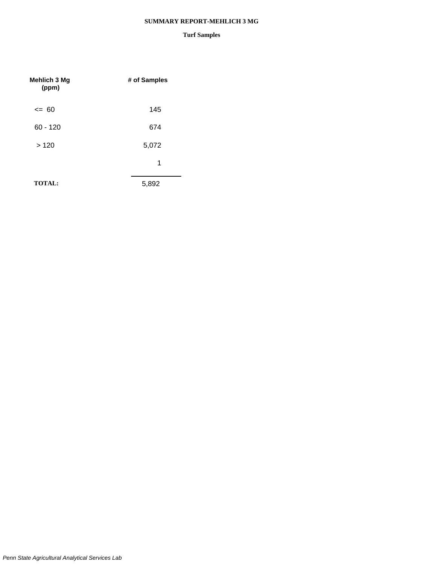#### **SUMMARY REPORT-MEHLICH 3 MG**

| <b>Mehlich 3 Mg</b><br>(ppm) | # of Samples |
|------------------------------|--------------|
| $= 60$                       | 145          |
| $60 - 120$                   | 674          |
| >120                         | 5,072        |
|                              | 1            |
| <b>TOTAL:</b>                | 5,892        |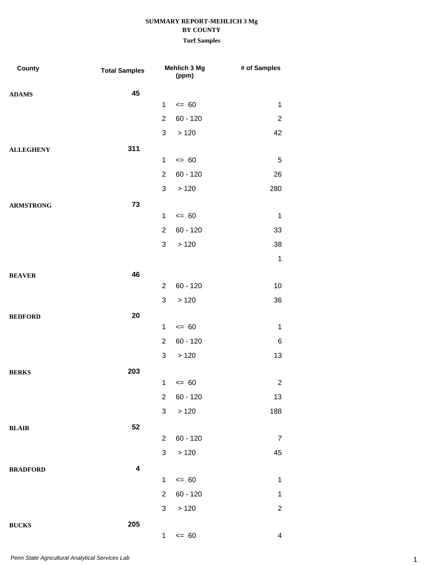| County           | <b>Total Samples</b> |                                | Mehlich 3 Mg<br>(ppm)   | # of Samples                 |
|------------------|----------------------|--------------------------------|-------------------------|------------------------------|
| <b>ADAMS</b>     | 45                   |                                |                         |                              |
|                  |                      | $\mathbf{1}$                   | $= 60$                  | $\mathbf{1}$                 |
|                  |                      | $\overline{2}$                 | $60 - 120$              | $\overline{c}$               |
|                  |                      | 3                              | >120                    | 42                           |
| <b>ALLEGHENY</b> | 311                  |                                |                         |                              |
|                  |                      | $\mathbf{1}$                   | $= 60$                  | $\overline{5}$               |
|                  |                      | $\overline{2}$                 | $60 - 120$              | 26                           |
|                  |                      | 3                              | >120                    | 280                          |
| <b>ARMSTRONG</b> | 73                   |                                |                         |                              |
|                  |                      | $\mathbf 1$                    | $= 60$                  | $\mathbf{1}$                 |
|                  |                      | $\overline{2}$                 | $60 - 120$              | 33                           |
|                  |                      | 3                              | >120                    | 38                           |
|                  |                      |                                |                         | $\mathbf 1$                  |
| <b>BEAVER</b>    | 46                   |                                |                         |                              |
|                  |                      | $\overline{2}$                 | $60 - 120$              | 10                           |
|                  |                      | 3                              | >120                    | 36                           |
| <b>BEDFORD</b>   | 20                   |                                |                         |                              |
|                  |                      | $\mathbf 1$                    | $= 60$                  | $\mathbf 1$                  |
|                  |                      | $\overline{2}$                 | $60 - 120$              | 6                            |
|                  |                      | 3                              | >120                    | 13                           |
| <b>BERKS</b>     | 203                  |                                |                         |                              |
|                  |                      |                                | $1 \le 60$              | $\overline{2}$               |
|                  |                      | $\overline{2}$                 | $60 - 120$              | 13                           |
|                  |                      | 3                              | >120                    | 188                          |
| <b>BLAIR</b>     | 52                   |                                |                         |                              |
|                  |                      | $\overline{2}$                 | $60 - 120$              | $\overline{7}$               |
|                  |                      | 3                              | >120                    | 45                           |
| <b>BRADFORD</b>  | 4                    |                                |                         |                              |
|                  |                      | $\mathbf{1}$<br>$\overline{2}$ | $\leq$ 60<br>$60 - 120$ | $\mathbf{1}$<br>$\mathbf{1}$ |
|                  |                      | 3                              | >120                    | $\overline{2}$               |
|                  |                      |                                |                         |                              |
| <b>BUCKS</b>     | 205                  | 1                              | $= 60$                  | $\overline{4}$               |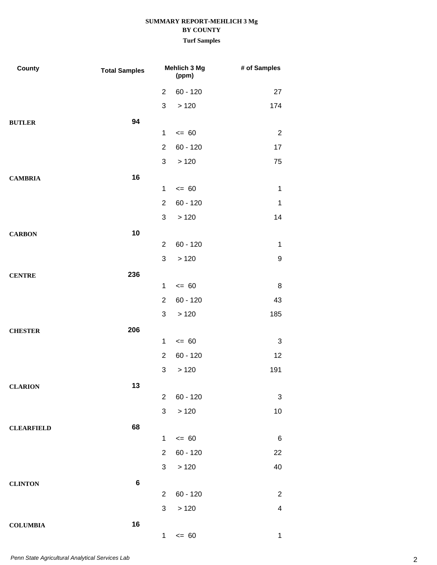| County            | <b>Total Samples</b> | Mehlich 3 Mg<br>(ppm) |            | # of Samples            |  |
|-------------------|----------------------|-----------------------|------------|-------------------------|--|
|                   |                      | $\overline{2}$        | $60 - 120$ | 27                      |  |
|                   |                      | $\mathfrak{S}$        | >120       | 174                     |  |
| <b>BUTLER</b>     | 94                   |                       |            |                         |  |
|                   |                      | 1                     | $= 60$     | $\overline{2}$          |  |
|                   |                      | $\overline{2}$        | $60 - 120$ | 17                      |  |
|                   |                      | $\mathfrak{S}$        | >120       | 75                      |  |
| <b>CAMBRIA</b>    | 16                   |                       |            |                         |  |
|                   |                      | 1                     | $= 60$     | $\mathbf 1$             |  |
|                   |                      | $\overline{2}$        | $60 - 120$ | $\mathbf 1$             |  |
|                   |                      | $\mathfrak{S}$        | >120       | 14                      |  |
| <b>CARBON</b>     | 10                   |                       |            |                         |  |
|                   |                      | $\overline{2}$        | $60 - 120$ | $\mathbf 1$             |  |
|                   |                      | $\mathfrak{S}$        | >120       | $\boldsymbol{9}$        |  |
| <b>CENTRE</b>     | 236                  |                       |            |                         |  |
|                   |                      | $\mathbf{1}$          | $= 60$     | 8                       |  |
|                   |                      | $\overline{2}$        | $60 - 120$ | 43                      |  |
|                   |                      | $\mathfrak{S}$        | >120       | 185                     |  |
| <b>CHESTER</b>    | 206                  |                       |            |                         |  |
|                   |                      | $\mathbf{1}$          | $= 60$     | 3                       |  |
|                   |                      | $\overline{2}$        | $60 - 120$ | 12                      |  |
|                   |                      | $\mathfrak{S}$        | >120       | 191                     |  |
| <b>CLARION</b>    | 13                   |                       |            |                         |  |
|                   |                      | $\overline{2}$        | $60 - 120$ | 3                       |  |
|                   |                      | $\mathfrak{S}$        | >120       | 10                      |  |
| <b>CLEARFIELD</b> | 68                   |                       |            |                         |  |
|                   |                      | $\mathbf 1$           | $\leq$ 60  | $\,6$                   |  |
|                   |                      | $\overline{2}$        | $60 - 120$ | 22                      |  |
|                   |                      | 3                     | >120       | 40                      |  |
| <b>CLINTON</b>    | $\bf 6$              |                       |            |                         |  |
|                   |                      | $\overline{2}$        | $60 - 120$ | $\overline{2}$          |  |
|                   |                      | $\mathfrak{S}$        | >120       | $\overline{\mathbf{4}}$ |  |
| <b>COLUMBIA</b>   | 16                   |                       |            |                         |  |
|                   |                      | 1                     | $\leq$ 60  | $\mathbf 1$             |  |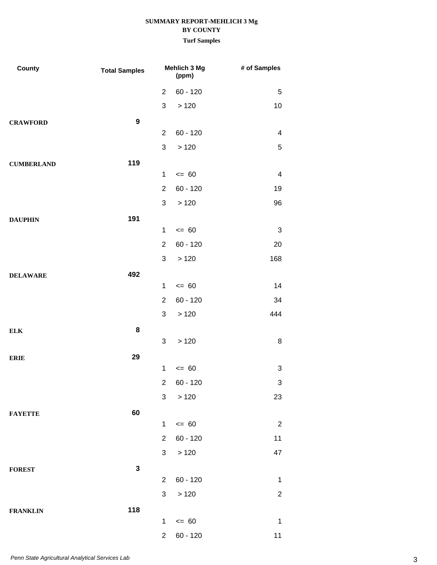| County            | <b>Total Samples</b> | Mehlich 3 Mg<br>(ppm) |              | # of Samples            |
|-------------------|----------------------|-----------------------|--------------|-------------------------|
|                   |                      | $\overline{2}$        | $60 - 120$   | 5                       |
|                   |                      | 3                     | >120         | 10                      |
| <b>CRAWFORD</b>   | $\boldsymbol{9}$     |                       |              |                         |
|                   |                      | 2                     | $60 - 120$   | 4                       |
|                   |                      | $\mathfrak{S}$        | >120         | 5                       |
| <b>CUMBERLAND</b> | 119                  |                       |              |                         |
|                   |                      | $\mathbf 1$           | $= 60$       | $\overline{\mathbf{4}}$ |
|                   |                      | $\overline{2}$        | $60 - 120$   | 19                      |
|                   |                      | $\mathfrak{S}$        | >120         | 96                      |
| <b>DAUPHIN</b>    | 191                  |                       |              |                         |
|                   |                      | $\mathbf 1$           | $= 60$       | $\sqrt{3}$              |
|                   |                      | $\overline{2}$        | $60 - 120$   | 20                      |
|                   |                      | $\mathfrak{S}$        | >120         | 168                     |
| <b>DELAWARE</b>   | 492                  |                       |              |                         |
|                   |                      | $\mathbf 1$           | $= 60$       | 14                      |
|                   |                      | $\overline{2}$        | $60 - 120$   | 34                      |
|                   |                      | $\mathfrak{S}$        | >120         | 444                     |
| ${\bf ELK}$       | 8                    | $\mathfrak{S}$        | >120         | $\bf 8$                 |
|                   |                      |                       |              |                         |
| <b>ERIE</b>       | 29                   | $\mathbf{1}$          | $= 60$       | 3                       |
|                   |                      |                       | $2 60 - 120$ | $\sqrt{3}$              |
|                   |                      | 3 <sup>7</sup>        | >120         | 23                      |
| <b>FAYETTE</b>    | 60                   |                       |              |                         |
|                   |                      | $\mathbf{1}$          | $\leq$ 60    | $\overline{2}$          |
|                   |                      | $\overline{2}$        | $60 - 120$   | 11                      |
|                   |                      | 3 <sup>1</sup>        | > 120        | 47                      |
| <b>FOREST</b>     | $\mathbf 3$          |                       |              |                         |
|                   |                      | $\overline{2}$        | $60 - 120$   | $\mathbf 1$             |
|                   |                      | $\mathbf{3}$          | >120         | $\sqrt{2}$              |
| <b>FRANKLIN</b>   | 118                  |                       |              |                         |
|                   |                      | $\mathbf{1}$          | $\leq$ 60    | $\mathbf{1}$            |
|                   |                      | $\overline{2}$        | $60 - 120$   | 11                      |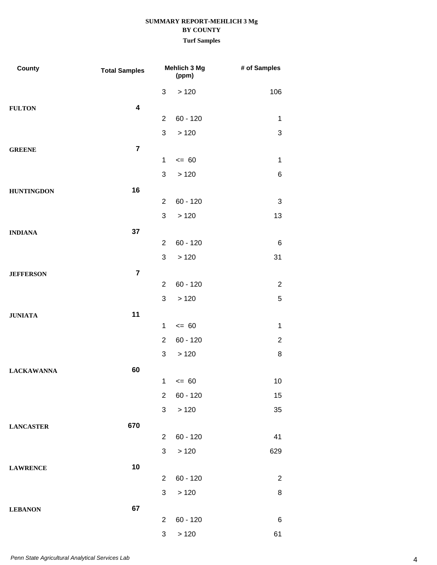| <b>County</b>     | <b>Total Samples</b>    |                | Mehlich 3 Mg<br>(ppm) | # of Samples   |
|-------------------|-------------------------|----------------|-----------------------|----------------|
|                   |                         | 3              | >120                  | 106            |
| <b>FULTON</b>     | $\overline{\mathbf{4}}$ |                |                       |                |
|                   |                         | $\overline{2}$ | $60 - 120$            | $\mathbf{1}$   |
|                   |                         | 3              | >120                  | $\sqrt{3}$     |
| <b>GREENE</b>     | $\overline{7}$          |                |                       |                |
|                   |                         | 1              | $= 60$                | $\mathbf{1}$   |
|                   |                         | 3              | >120                  | 6              |
| <b>HUNTINGDON</b> | 16                      |                |                       |                |
|                   |                         | $\overline{2}$ | $60 - 120$            | 3              |
|                   |                         | $\mathfrak{S}$ | >120                  | 13             |
| <b>INDIANA</b>    | 37                      |                |                       |                |
|                   |                         | 2              | $60 - 120$            | 6              |
|                   |                         | 3              | >120                  | 31             |
| <b>JEFFERSON</b>  | $\overline{7}$          |                |                       |                |
|                   |                         | 2              | $60 - 120$            | $\overline{2}$ |
|                   |                         | 3              | >120                  | $\mathbf 5$    |
| <b>JUNIATA</b>    | 11                      |                |                       |                |
|                   |                         | 1<br>2         | $= 60$                | $\mathbf 1$    |
|                   |                         |                | $60 - 120$            | $\overline{c}$ |
|                   |                         | 3              | >120                  | 8              |
| <b>LACKAWANNA</b> | 60                      | 1              | $= 60$                | 10             |
|                   |                         | $\overline{2}$ | $60 - 120$            | 15             |
|                   |                         | 3              | >120                  | 35             |
|                   |                         |                |                       |                |
| <b>LANCASTER</b>  | 670                     | $\overline{2}$ | $60 - 120$            | 41             |
|                   |                         | $\mathfrak{S}$ | >120                  | 629            |
|                   | 10                      |                |                       |                |
| <b>LAWRENCE</b>   |                         | 2              | $60 - 120$            | $\overline{2}$ |
|                   |                         | 3              | >120                  | 8              |
| <b>LEBANON</b>    | 67                      |                |                       |                |
|                   |                         | $\overline{2}$ | $60 - 120$            | 6              |
|                   |                         | 3              | >120                  | 61             |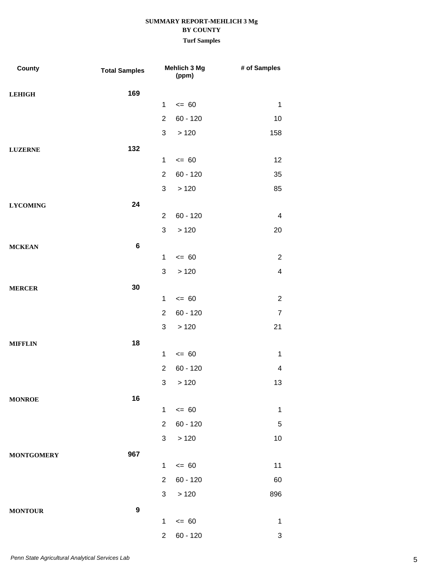| County            | <b>Total Samples</b> |                | Mehlich 3 Mg<br>(ppm) | # of Samples            |
|-------------------|----------------------|----------------|-----------------------|-------------------------|
| <b>LEHIGH</b>     | 169                  |                |                       |                         |
|                   |                      | $\mathbf{1}$   | $= 60$                | $\mathbf{1}$            |
|                   |                      | $\overline{2}$ | $60 - 120$            | 10                      |
|                   |                      | 3              | >120                  | 158                     |
| <b>LUZERNE</b>    | 132                  |                |                       |                         |
|                   |                      | $\mathbf{1}$   | $= 60$                | 12                      |
|                   |                      | $\overline{2}$ | $60 - 120$            | 35                      |
|                   |                      | 3              | >120                  | 85                      |
| <b>LYCOMING</b>   | 24                   |                |                       |                         |
|                   |                      | $\overline{2}$ | $60 - 120$            | $\overline{\mathbf{4}}$ |
|                   |                      | 3              | >120                  | 20                      |
| <b>MCKEAN</b>     | $\bf 6$              |                |                       |                         |
|                   |                      | $\mathbf{1}$   | $= 60$                | $\sqrt{2}$              |
|                   |                      | 3              | >120                  | $\overline{\mathbf{4}}$ |
| <b>MERCER</b>     | 30                   |                |                       |                         |
|                   |                      | $\mathbf{1}$   | $= 60$                | $\overline{c}$          |
|                   |                      | $\overline{2}$ | $60 - 120$            | $\overline{7}$          |
|                   |                      | 3              | >120                  | 21                      |
| <b>MIFFLIN</b>    | 18                   |                |                       |                         |
|                   |                      | $\mathbf{1}$   | $= 60$                | $\mathbf{1}$            |
|                   |                      | $\overline{2}$ | $60 - 120$            | $\overline{\mathbf{4}}$ |
|                   |                      |                | 3 > 120               | 13                      |
| <b>MONROE</b>     | 16                   |                |                       |                         |
|                   |                      | 1              | $= 60$                | $\mathbf{1}$            |
|                   |                      | $\overline{2}$ | $60 - 120$            | $\mathbf 5$             |
|                   |                      | 3              | >120                  | 10                      |
| <b>MONTGOMERY</b> | 967                  |                |                       |                         |
|                   |                      | $\mathbf{1}$   | $= 60$                | 11                      |
|                   |                      | $\overline{2}$ | $60 - 120$            | 60                      |
|                   |                      | 3              | >120                  | 896                     |
| <b>MONTOUR</b>    | $\boldsymbol{9}$     |                |                       |                         |
|                   |                      | 1              | $= 60$                | $\mathbf{1}$            |
|                   |                      | $\overline{2}$ | $60 - 120$            | 3                       |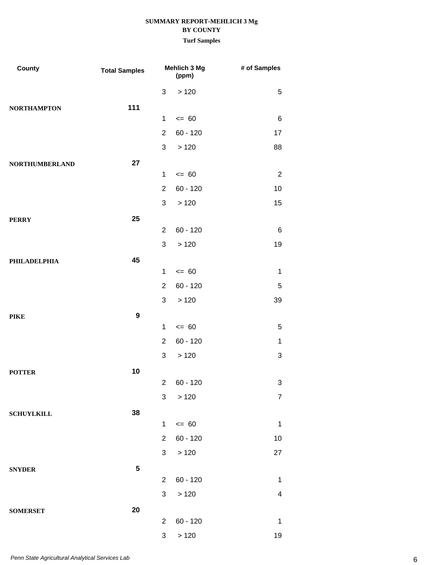| County                | <b>Total Samples</b> |                | Mehlich 3 Mg<br>(ppm) | # of Samples              |
|-----------------------|----------------------|----------------|-----------------------|---------------------------|
|                       |                      | 3              | >120                  | $\mathbf 5$               |
| <b>NORTHAMPTON</b>    | 111                  |                |                       |                           |
|                       |                      | $\mathbf{1}$   | $= 60$                | $\,6$                     |
|                       |                      | $\overline{2}$ | $60 - 120$            | 17                        |
|                       |                      | 3              | >120                  | 88                        |
| <b>NORTHUMBERLAND</b> | 27                   |                |                       |                           |
|                       |                      | $\mathbf{1}$   | $= 60$                | $\overline{2}$            |
|                       |                      | $\overline{2}$ | $60 - 120$            | 10                        |
|                       |                      | 3              | >120                  | 15                        |
| <b>PERRY</b>          | 25                   |                |                       |                           |
|                       |                      | $\overline{2}$ | $60 - 120$            | 6                         |
|                       |                      | $\mathfrak{S}$ | >120                  | 19                        |
| <b>PHILADELPHIA</b>   | 45                   |                |                       |                           |
|                       |                      | $\mathbf 1$    | $= 60$                | $\mathbf 1$               |
|                       |                      | $\overline{2}$ | $60 - 120$            | 5                         |
|                       |                      | $\mathfrak{S}$ | >120                  | 39                        |
| PIKE                  | $\boldsymbol{9}$     |                |                       |                           |
|                       |                      | $\mathbf 1$    | $= 60$                | 5                         |
|                       |                      | $\overline{2}$ | $60 - 120$            | 1                         |
|                       |                      | $\mathfrak{S}$ | >120                  | 3                         |
| <b>POTTER</b>         | 10                   |                |                       |                           |
|                       |                      |                | 2 60 - 120            | $\ensuremath{\mathsf{3}}$ |
|                       |                      | 3 <sup>7</sup> | >120                  | $\overline{7}$            |
| <b>SCHUYLKILL</b>     | 38                   |                |                       |                           |
|                       |                      | $\mathbf{1}$   | $\leq 60$             | $\mathbf 1$               |
|                       |                      | $\overline{2}$ | $60 - 120$            | 10                        |
|                       |                      | 3 <sup>7</sup> | >120                  | 27                        |
| <b>SNYDER</b>         | $5\phantom{.0}$      |                |                       |                           |
|                       |                      | $\overline{2}$ | $60 - 120$            | $\mathbf{1}$              |
|                       |                      | 3              | >120                  | $\overline{\mathbf{4}}$   |
| <b>SOMERSET</b>       | 20                   |                |                       |                           |
|                       |                      | $\overline{2}$ | $60 - 120$            | $\mathbf 1$               |
|                       |                      | $\mathbf{3}$   | > 120                 | 19                        |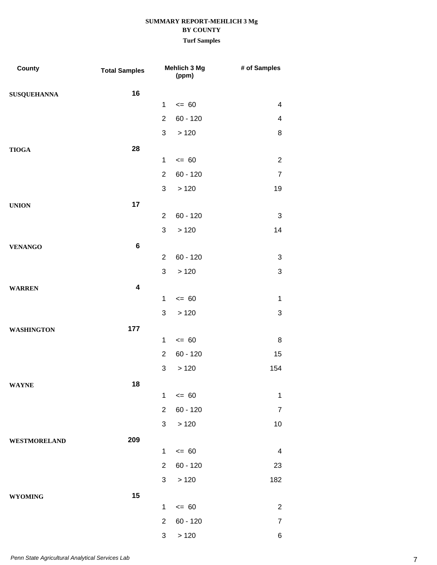| County              | <b>Total Samples</b>    |                | <b>Mehlich 3 Mg</b><br>(ppm) | # of Samples              |
|---------------------|-------------------------|----------------|------------------------------|---------------------------|
| <b>SUSQUEHANNA</b>  | 16                      |                |                              |                           |
|                     |                         | $\mathbf{1}$   | $\leq 60$                    | $\overline{\mathcal{A}}$  |
|                     |                         | $\overline{2}$ | $60 - 120$                   | 4                         |
|                     |                         | 3              | >120                         | 8                         |
| <b>TIOGA</b>        | 28                      |                |                              |                           |
|                     |                         | $\mathbf{1}$   | $= 60$                       | $\overline{c}$            |
|                     |                         | $\overline{2}$ | $60 - 120$                   | $\overline{7}$            |
|                     |                         | 3              | >120                         | 19                        |
| <b>UNION</b>        | 17                      |                |                              |                           |
|                     |                         | $\overline{2}$ | $60 - 120$                   | 3                         |
|                     |                         | 3              | >120                         | 14                        |
| <b>VENANGO</b>      | 6                       |                |                              |                           |
|                     |                         | $\overline{2}$ | $60 - 120$                   | 3                         |
|                     |                         | 3              | >120                         | $\ensuremath{\mathsf{3}}$ |
| <b>WARREN</b>       | $\overline{\mathbf{4}}$ |                |                              |                           |
|                     |                         | $\mathbf{1}$   | $= 60$                       | $\mathbf 1$               |
|                     |                         | 3              | >120                         | 3                         |
| <b>WASHINGTON</b>   | 177                     |                |                              |                           |
|                     |                         | $\mathbf{1}$   | $= 60$                       | 8                         |
|                     |                         | $\overline{2}$ | $60 - 120$                   | 15                        |
|                     |                         | $\mathfrak{S}$ | >120                         | 154                       |
| <b>WAYNE</b>        | 18                      |                |                              |                           |
|                     |                         | $\mathbf{1}$   | $= 60$                       | $\mathbf{1}$              |
|                     |                         | $\overline{2}$ | $60 - 120$                   | $\overline{7}$            |
|                     |                         | 3              | >120                         | $10$                      |
| <b>WESTMORELAND</b> | 209                     |                |                              |                           |
|                     |                         | $\mathbf{1}$   | $= 60$                       | $\overline{4}$            |
|                     |                         | $\overline{2}$ | $60 - 120$                   | 23                        |
|                     |                         | 3 <sup>1</sup> | >120                         | 182                       |
| <b>WYOMING</b>      | 15                      |                |                              |                           |
|                     |                         | $\mathbf{1}$   | $= 60$                       | $\overline{c}$            |
|                     |                         | $\overline{2}$ | $60 - 120$                   | $\overline{7}$            |
|                     |                         | 3              | >120                         | 6                         |